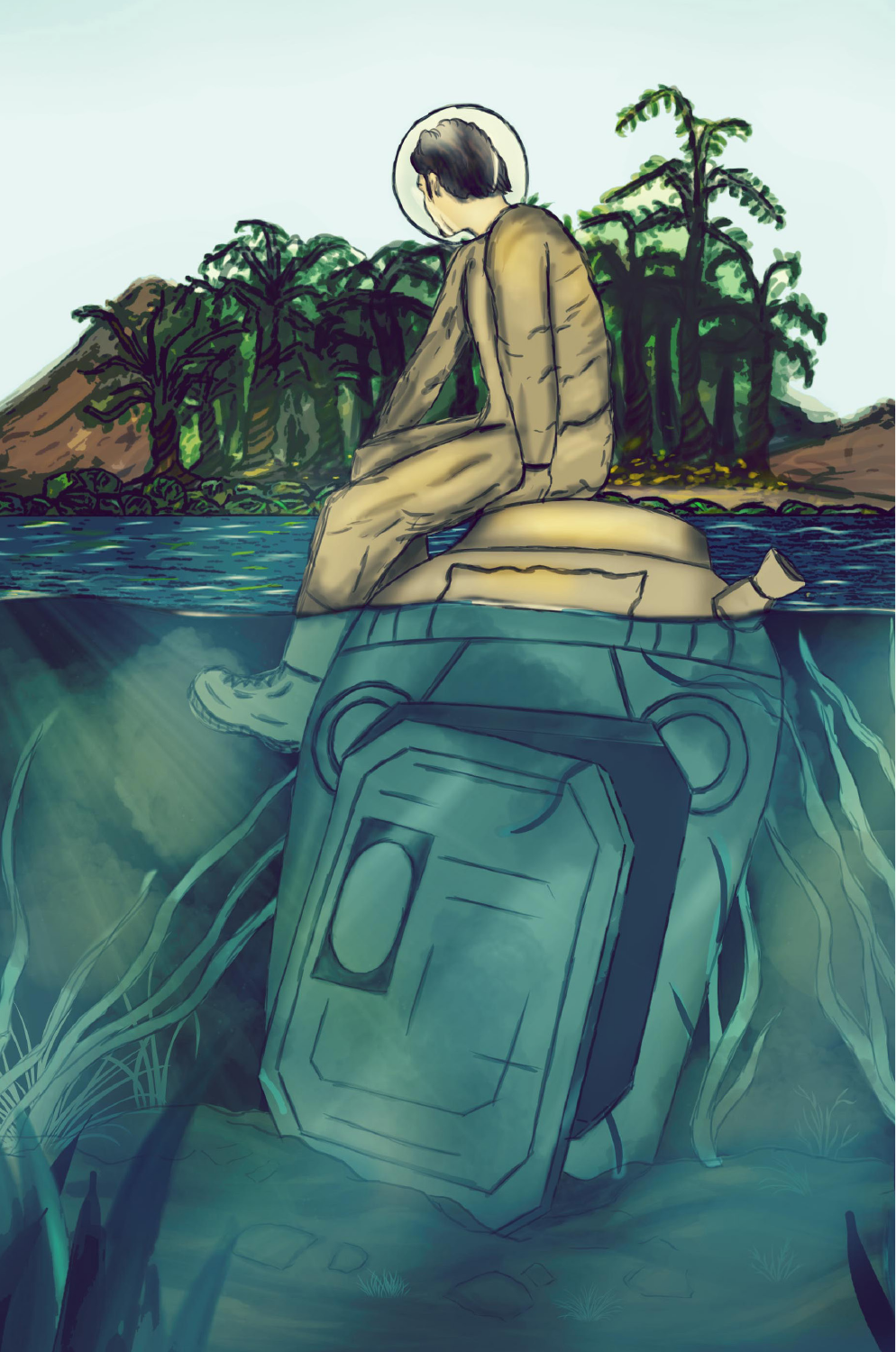